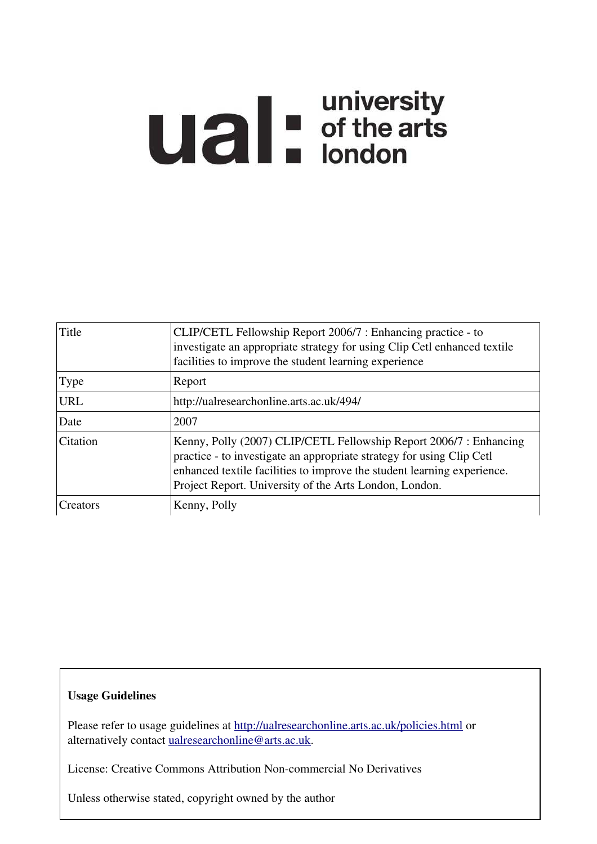# **Ual** distribution of the arts

| Title       | CLIP/CETL Fellowship Report 2006/7 : Enhancing practice - to<br>investigate an appropriate strategy for using Clip Cetl enhanced textile<br>facilities to improve the student learning experience                                                                                |
|-------------|----------------------------------------------------------------------------------------------------------------------------------------------------------------------------------------------------------------------------------------------------------------------------------|
| <b>Type</b> | Report                                                                                                                                                                                                                                                                           |
| <b>URL</b>  | http://ualresearchonline.arts.ac.uk/494/                                                                                                                                                                                                                                         |
| Date        | 2007                                                                                                                                                                                                                                                                             |
| Citation    | Kenny, Polly (2007) CLIP/CETL Fellowship Report 2006/7 : Enhancing<br>practice - to investigate an appropriate strategy for using Clip Cetl<br>enhanced textile facilities to improve the student learning experience.<br>Project Report. University of the Arts London, London. |
| Creators    | Kenny, Polly                                                                                                                                                                                                                                                                     |

# Usage Guidelines

Please refer to usage guidelines at<http://ualresearchonline.arts.ac.uk/policies.html>or alternatively contact [ualresearchonline@arts.ac.uk.](mailto:ualresearchonline@arts.ac.uk)

License: Creative Commons Attribution Non-commercial No Derivatives

Unless otherwise stated, copyright owned by the author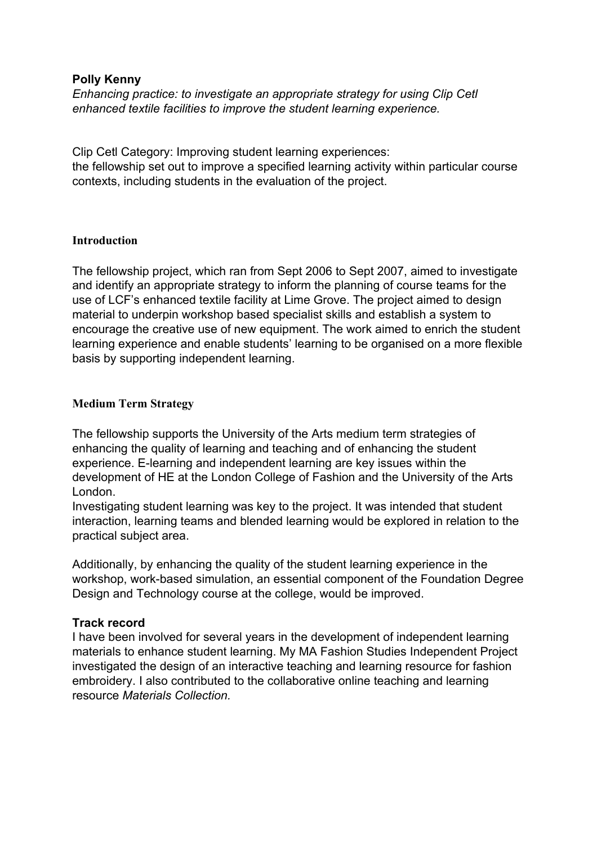# **Polly Kenny**

*Enhancing practice: to investigate an appropriate strategy for using Clip Cetl enhanced textile facilities to improve the student learning experience.*

Clip Cetl Category: Improving student learning experiences: the fellowship set out to improve a specified learning activity within particular course contexts, including students in the evaluation of the project.

# **Introduction**

The fellowship project, which ran from Sept 2006 to Sept 2007, aimed to investigate and identify an appropriate strategy to inform the planning of course teams for the use of LCF's enhanced textile facility at Lime Grove. The project aimed to design material to underpin workshop based specialist skills and establish a system to encourage the creative use of new equipment. The work aimed to enrich the student learning experience and enable students' learning to be organised on a more flexible basis by supporting independent learning.

# **Medium Term Strategy**

The fellowship supports the University of the Arts medium term strategies of enhancing the quality of learning and teaching and of enhancing the student experience. E-learning and independent learning are key issues within the development of HE at the London College of Fashion and the University of the Arts London.

Investigating student learning was key to the project. It was intended that student interaction, learning teams and blended learning would be explored in relation to the practical subject area.

Additionally, by enhancing the quality of the student learning experience in the workshop, work-based simulation, an essential component of the Foundation Degree Design and Technology course at the college, would be improved.

# **Track record**

I have been involved for several years in the development of independent learning materials to enhance student learning. My MA Fashion Studies Independent Project investigated the design of an interactive teaching and learning resource for fashion embroidery. I also contributed to the collaborative online teaching and learning resource *Materials Collection.*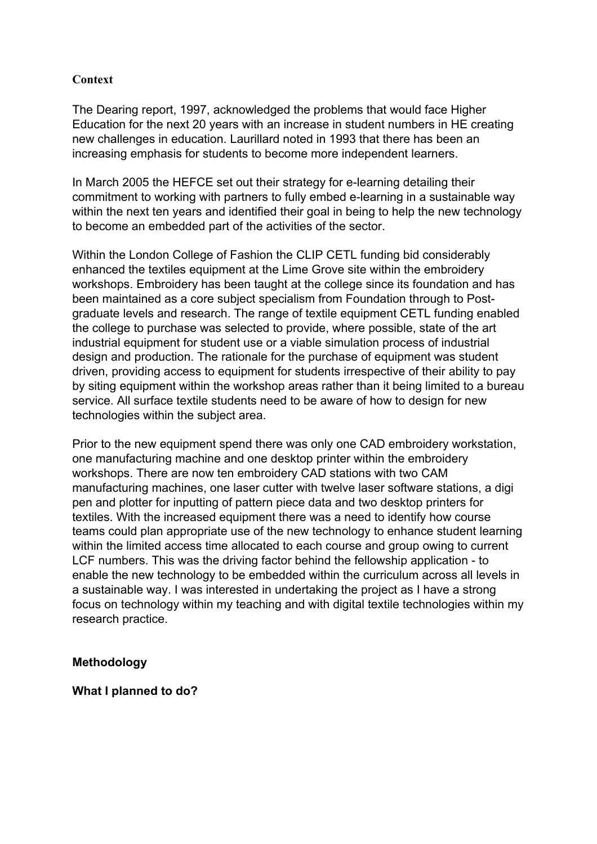# **Context**

The Dearing report, 1997, acknowledged the problems that would face Higher Education for the next 20 years with an increase in student numbers in HE creating new challenges in education. Laurillard noted in 1993 that there has been an increasing emphasis for students to become more independent learners.

In March 2005 the HEFCE set out their strategy for e-learning detailing their commitment to working with partners to fully embed e-learning in a sustainable way within the next ten years and identified their goal in being to help the new technology to become an embedded part of the activities of the sector.

Within the London College of Fashion the CLIP CETL funding bid considerably enhanced the textiles equipment at the Lime Grove site within the embroidery workshops. Embroidery has been taught at the college since its foundation and has been maintained as a core subject specialism from Foundation through to Postgraduate levels and research. The range of textile equipment CETL funding enabled the college to purchase was selected to provide, where possible, state of the art industrial equipment for student use or a viable simulation process of industrial design and production. The rationale for the purchase of equipment was student driven, providing access to equipment for students irrespective of their ability to pay by siting equipment within the workshop areas rather than it being limited to a bureau service. All surface textile students need to be aware of how to design for new technologies within the subject area.

Prior to the new equipment spend there was only one CAD embroidery workstation, one manufacturing machine and one desktop printer within the embroidery workshops. There are now ten embroidery CAD stations with two CAM manufacturing machines, one laser cutter with twelve laser software stations, a digi pen and plotter for inputting of pattern piece data and two desktop printers for textiles. With the increased equipment there was a need to identify how course teams could plan appropriate use of the new technology to enhance student learning within the limited access time allocated to each course and group owing to current LCF numbers. This was the driving factor behind the fellowship application - to enable the new technology to be embedded within the curriculum across all levels in a sustainable way. I was interested in undertaking the project as I have a strong focus on technology within my teaching and with digital textile technologies within my research practice.

# **Methodology**

**What I planned to do?**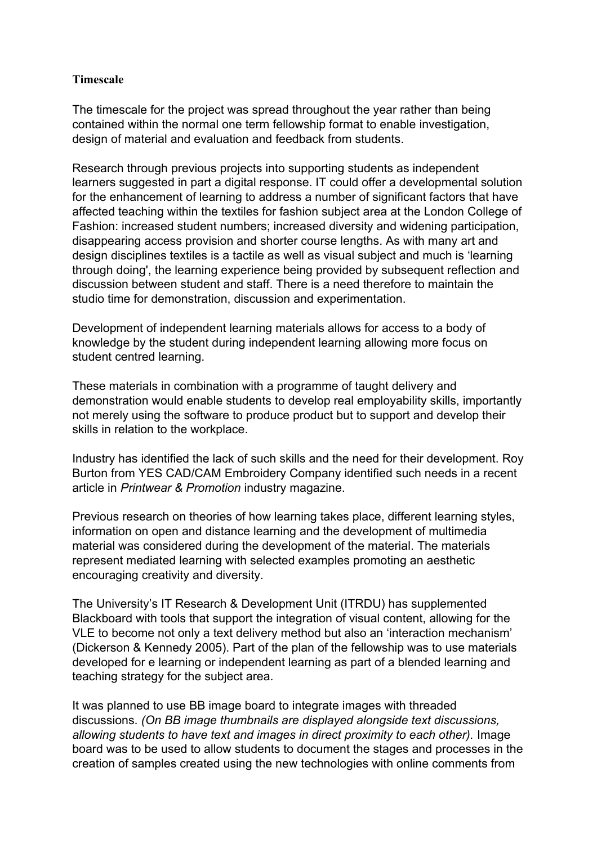# **Timescale**

The timescale for the project was spread throughout the year rather than being contained within the normal one term fellowship format to enable investigation, design of material and evaluation and feedback from students.

Research through previous projects into supporting students as independent learners suggested in part a digital response. IT could offer a developmental solution for the enhancement of learning to address a number of significant factors that have affected teaching within the textiles for fashion subject area at the London College of Fashion: increased student numbers; increased diversity and widening participation, disappearing access provision and shorter course lengths. As with many art and design disciplines textiles is a tactile as well as visual subject and much is 'learning through doing', the learning experience being provided by subsequent reflection and discussion between student and staff. There is a need therefore to maintain the studio time for demonstration, discussion and experimentation.

Development of independent learning materials allows for access to a body of knowledge by the student during independent learning allowing more focus on student centred learning.

These materials in combination with a programme of taught delivery and demonstration would enable students to develop real employability skills, importantly not merely using the software to produce product but to support and develop their skills in relation to the workplace.

Industry has identified the lack of such skills and the need for their development. Roy Burton from YES CAD/CAM Embroidery Company identified such needs in a recent article in *Printwear & Promotion* industry magazine.

Previous research on theories of how learning takes place, different learning styles, information on open and distance learning and the development of multimedia material was considered during the development of the material. The materials represent mediated learning with selected examples promoting an aesthetic encouraging creativity and diversity.

The University's IT Research & Development Unit (ITRDU) has supplemented Blackboard with tools that support the integration of visual content, allowing for the VLE to become not only a text delivery method but also an 'interaction mechanism' (Dickerson & Kennedy 2005). Part of the plan of the fellowship was to use materials developed for e learning or independent learning as part of a blended learning and teaching strategy for the subject area.

It was planned to use BB image board to integrate images with threaded discussions. *(On BB image thumbnails are displayed alongside text discussions, allowing students to have text and images in direct proximity to each other).* Image board was to be used to allow students to document the stages and processes in the creation of samples created using the new technologies with online comments from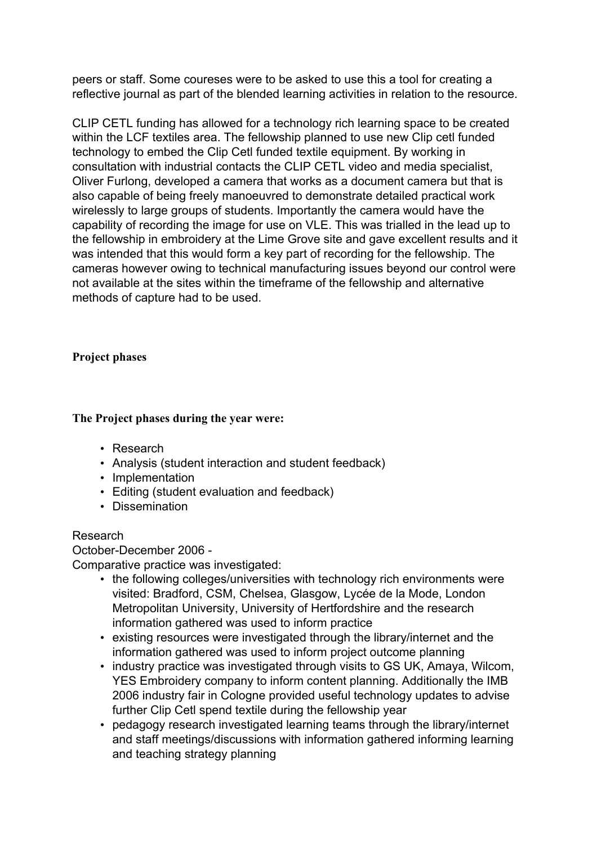peers or staff. Some coureses were to be asked to use this a tool for creating a reflective journal as part of the blended learning activities in relation to the resource.

CLIP CETL funding has allowed for a technology rich learning space to be created within the LCF textiles area. The fellowship planned to use new Clip cetl funded technology to embed the Clip Cetl funded textile equipment. By working in consultation with industrial contacts the CLIP CETL video and media specialist, Oliver Furlong, developed a camera that works as a document camera but that is also capable of being freely manoeuvred to demonstrate detailed practical work wirelessly to large groups of students. Importantly the camera would have the capability of recording the image for use on VLE. This was trialled in the lead up to the fellowship in embroidery at the Lime Grove site and gave excellent results and it was intended that this would form a key part of recording for the fellowship. The cameras however owing to technical manufacturing issues beyond our control were not available at the sites within the timeframe of the fellowship and alternative methods of capture had to be used.

# **Project phases**

# **The Project phases during the year were:**

- Research
- Analysis (student interaction and student feedback)
- Implementation
- Editing (student evaluation and feedback)
- Dissemination

# Research

October-December 2006 -

Comparative practice was investigated:

- the following colleges/universities with technology rich environments were visited: Bradford, CSM, Chelsea, Glasgow, Lycée de la Mode, London Metropolitan University, University of Hertfordshire and the research information gathered was used to inform practice
- existing resources were investigated through the library/internet and the information gathered was used to inform project outcome planning
- industry practice was investigated through visits to GS UK, Amaya, Wilcom, YES Embroidery company to inform content planning. Additionally the IMB 2006 industry fair in Cologne provided useful technology updates to advise further Clip Cetl spend textile during the fellowship year
- pedagogy research investigated learning teams through the library/internet and staff meetings/discussions with information gathered informing learning and teaching strategy planning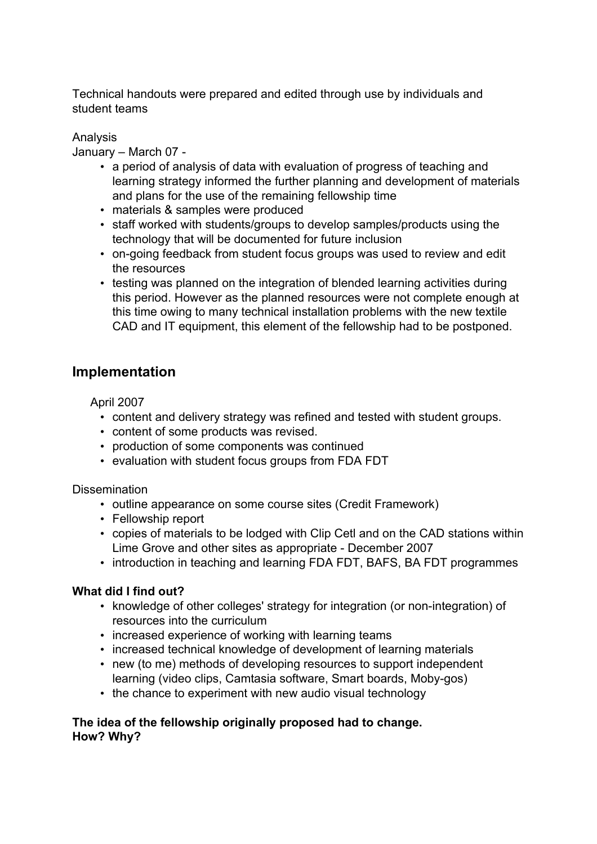Technical handouts were prepared and edited through use by individuals and student teams

# Analysis

January – March 07 -

- a period of analysis of data with evaluation of progress of teaching and learning strategy informed the further planning and development of materials and plans for the use of the remaining fellowship time
- materials & samples were produced
- staff worked with students/groups to develop samples/products using the technology that will be documented for future inclusion
- on-going feedback from student focus groups was used to review and edit the resources
- testing was planned on the integration of blended learning activities during this period. However as the planned resources were not complete enough at this time owing to many technical installation problems with the new textile CAD and IT equipment, this element of the fellowship had to be postponed.

# **Implementation**

April 2007

- content and delivery strategy was refined and tested with student groups.
- content of some products was revised.
- production of some components was continued
- evaluation with student focus groups from FDA FDT

Dissemination

- outline appearance on some course sites (Credit Framework)
- Fellowship report
- copies of materials to be lodged with Clip Cetl and on the CAD stations within Lime Grove and other sites as appropriate - December 2007
- introduction in teaching and learning FDA FDT, BAFS, BA FDT programmes

# **What did I find out?**

- knowledge of other colleges' strategy for integration (or non-integration) of resources into the curriculum
- increased experience of working with learning teams
- increased technical knowledge of development of learning materials
- new (to me) methods of developing resources to support independent learning (video clips, Camtasia software, Smart boards, Moby-gos)
- the chance to experiment with new audio visual technology

# **The idea of the fellowship originally proposed had to change. How? Why?**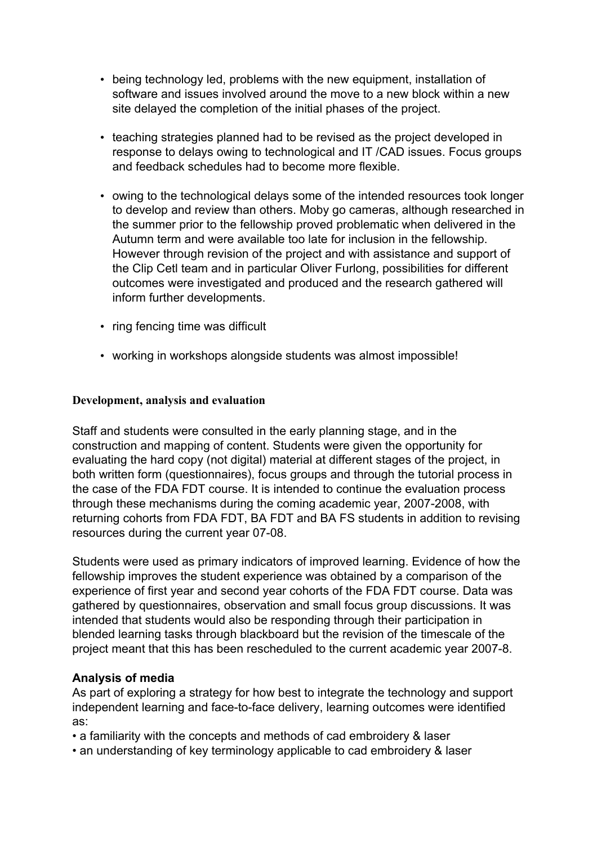- being technology led, problems with the new equipment, installation of software and issues involved around the move to a new block within a new site delayed the completion of the initial phases of the project.
- teaching strategies planned had to be revised as the project developed in response to delays owing to technological and IT /CAD issues. Focus groups and feedback schedules had to become more flexible.
- owing to the technological delays some of the intended resources took longer to develop and review than others. Moby go cameras, although researched in the summer prior to the fellowship proved problematic when delivered in the Autumn term and were available too late for inclusion in the fellowship. However through revision of the project and with assistance and support of the Clip Cetl team and in particular Oliver Furlong, possibilities for different outcomes were investigated and produced and the research gathered will inform further developments.
- ring fencing time was difficult
- working in workshops alongside students was almost impossible!

#### **Development, analysis and evaluation**

Staff and students were consulted in the early planning stage, and in the construction and mapping of content. Students were given the opportunity for evaluating the hard copy (not digital) material at different stages of the project, in both written form (questionnaires), focus groups and through the tutorial process in the case of the FDA FDT course. It is intended to continue the evaluation process through these mechanisms during the coming academic year, 2007-2008, with returning cohorts from FDA FDT, BA FDT and BA FS students in addition to revising resources during the current year 07-08.

Students were used as primary indicators of improved learning. Evidence of how the fellowship improves the student experience was obtained by a comparison of the experience of first year and second year cohorts of the FDA FDT course. Data was gathered by questionnaires, observation and small focus group discussions. It was intended that students would also be responding through their participation in blended learning tasks through blackboard but the revision of the timescale of the project meant that this has been rescheduled to the current academic year 2007-8.

# **Analysis of media**

As part of exploring a strategy for how best to integrate the technology and support independent learning and face-to-face delivery, learning outcomes were identified as:

- a familiarity with the concepts and methods of cad embroidery & laser
- an understanding of key terminology applicable to cad embroidery & laser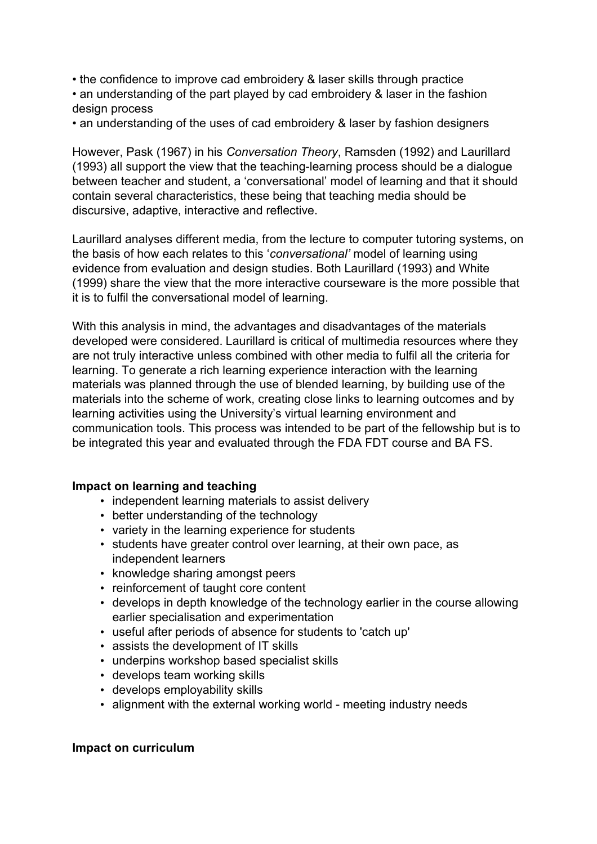- the confidence to improve cad embroidery & laser skills through practice
- an understanding of the part played by cad embroidery & laser in the fashion design process
- an understanding of the uses of cad embroidery & laser by fashion designers

However, Pask (1967) in his *Conversation Theory*, Ramsden (1992) and Laurillard (1993) all support the view that the teaching-learning process should be a dialogue between teacher and student, a 'conversational' model of learning and that it should contain several characteristics, these being that teaching media should be discursive, adaptive, interactive and reflective.

Laurillard analyses different media, from the lecture to computer tutoring systems, on the basis of how each relates to this '*conversational'* model of learning using evidence from evaluation and design studies. Both Laurillard (1993) and White (1999) share the view that the more interactive courseware is the more possible that it is to fulfil the conversational model of learning.

With this analysis in mind, the advantages and disadvantages of the materials developed were considered. Laurillard is critical of multimedia resources where they are not truly interactive unless combined with other media to fulfil all the criteria for learning. To generate a rich learning experience interaction with the learning materials was planned through the use of blended learning, by building use of the materials into the scheme of work, creating close links to learning outcomes and by learning activities using the University's virtual learning environment and communication tools. This process was intended to be part of the fellowship but is to be integrated this year and evaluated through the FDA FDT course and BA FS.

# **Impact on learning and teaching**

- independent learning materials to assist delivery
- better understanding of the technology
- variety in the learning experience for students
- students have greater control over learning, at their own pace, as independent learners
- knowledge sharing amongst peers
- reinforcement of taught core content
- develops in depth knowledge of the technology earlier in the course allowing earlier specialisation and experimentation
- useful after periods of absence for students to 'catch up'
- assists the development of IT skills
- underpins workshop based specialist skills
- develops team working skills
- develops employability skills
- alignment with the external working world meeting industry needs

#### **Impact on curriculum**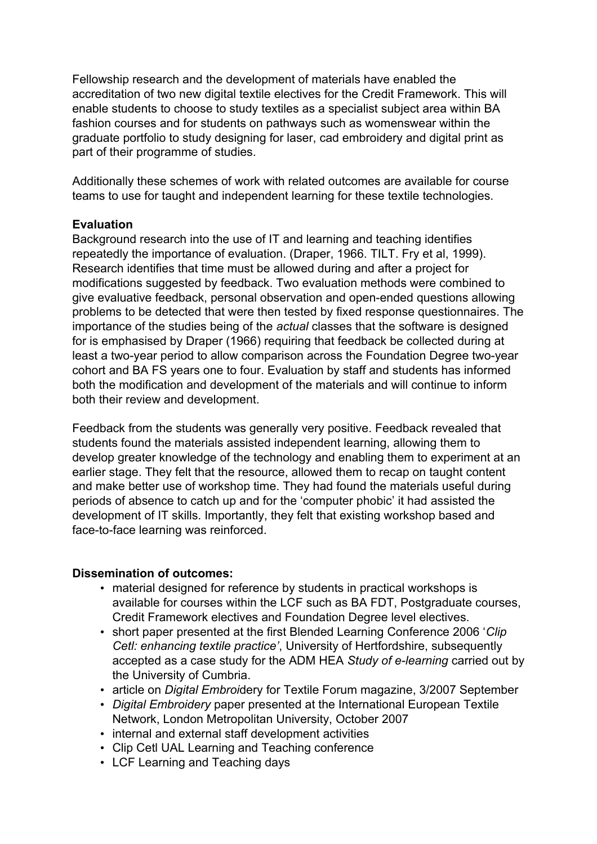Fellowship research and the development of materials have enabled the accreditation of two new digital textile electives for the Credit Framework. This will enable students to choose to study textiles as a specialist subject area within BA fashion courses and for students on pathways such as womenswear within the graduate portfolio to study designing for laser, cad embroidery and digital print as part of their programme of studies.

Additionally these schemes of work with related outcomes are available for course teams to use for taught and independent learning for these textile technologies.

# **Evaluation**

Background research into the use of IT and learning and teaching identifies repeatedly the importance of evaluation. (Draper, 1966. TILT. Fry et al, 1999). Research identifies that time must be allowed during and after a project for modifications suggested by feedback. Two evaluation methods were combined to give evaluative feedback, personal observation and open-ended questions allowing problems to be detected that were then tested by fixed response questionnaires. The importance of the studies being of the *actual* classes that the software is designed for is emphasised by Draper (1966) requiring that feedback be collected during at least a two-year period to allow comparison across the Foundation Degree two-year cohort and BA FS years one to four. Evaluation by staff and students has informed both the modification and development of the materials and will continue to inform both their review and development.

Feedback from the students was generally very positive. Feedback revealed that students found the materials assisted independent learning, allowing them to develop greater knowledge of the technology and enabling them to experiment at an earlier stage. They felt that the resource, allowed them to recap on taught content and make better use of workshop time. They had found the materials useful during periods of absence to catch up and for the 'computer phobic' it had assisted the development of IT skills. Importantly, they felt that existing workshop based and face-to-face learning was reinforced.

# **Dissemination of outcomes:**

- material designed for reference by students in practical workshops is available for courses within the LCF such as BA FDT, Postgraduate courses, Credit Framework electives and Foundation Degree level electives.
- short paper presented at the first Blended Learning Conference 2006 '*Clip Cetl: enhancing textile practice'*, University of Hertfordshire, subsequently accepted as a case study for the ADM HEA *Study of e-learning* carried out by the University of Cumbria.
- article on *Digital Embroi*dery for Textile Forum magazine, 3/2007 September
- *Digital Embroidery* paper presented at the International European Textile Network, London Metropolitan University, October 2007
- internal and external staff development activities
- Clip Cetl UAL Learning and Teaching conference
- LCF Learning and Teaching days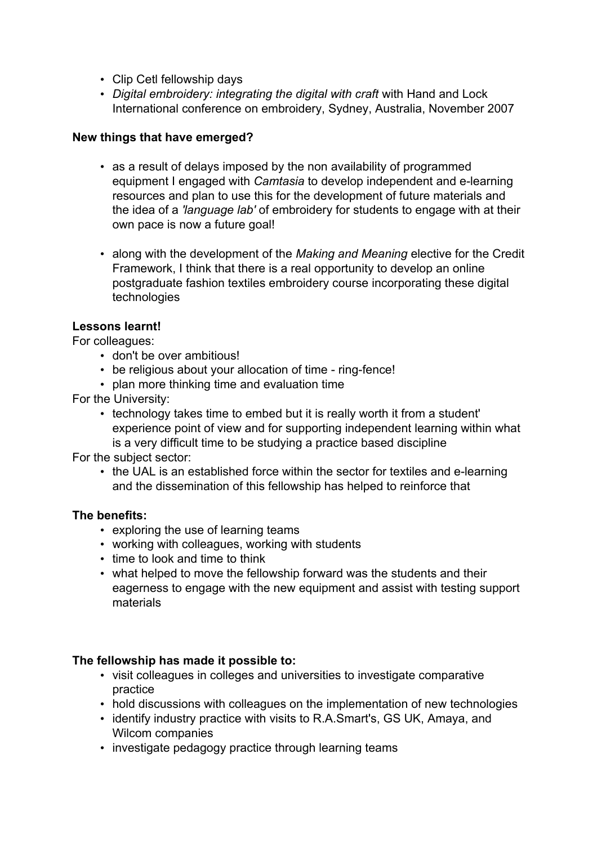- Clip Cetl fellowship days
- *Digital embroidery: integrating the digital with craft* with Hand and Lock International conference on embroidery, Sydney, Australia, November 2007

# **New things that have emerged?**

- as a result of delays imposed by the non availability of programmed equipment I engaged with *Camtasia* to develop independent and e-learning resources and plan to use this for the development of future materials and the idea of a *'language lab'* of embroidery for students to engage with at their own pace is now a future goal!
- along with the development of the *Making and Meaning* elective for the Credit Framework, I think that there is a real opportunity to develop an online postgraduate fashion textiles embroidery course incorporating these digital technologies

# **Lessons learnt!**

For colleagues:

- don't be over ambitious!
- be religious about your allocation of time ring-fence!
- plan more thinking time and evaluation time

For the University:

• technology takes time to embed but it is really worth it from a student' experience point of view and for supporting independent learning within what is a very difficult time to be studying a practice based discipline

For the subject sector:

• the UAL is an established force within the sector for textiles and e-learning and the dissemination of this fellowship has helped to reinforce that

# **The benefits:**

- exploring the use of learning teams
- working with colleagues, working with students
- time to look and time to think
- what helped to move the fellowship forward was the students and their eagerness to engage with the new equipment and assist with testing support materials

# **The fellowship has made it possible to:**

- visit colleagues in colleges and universities to investigate comparative practice
- hold discussions with colleagues on the implementation of new technologies
- identify industry practice with visits to R.A.Smart's, GS UK, Amaya, and Wilcom companies
- investigate pedagogy practice through learning teams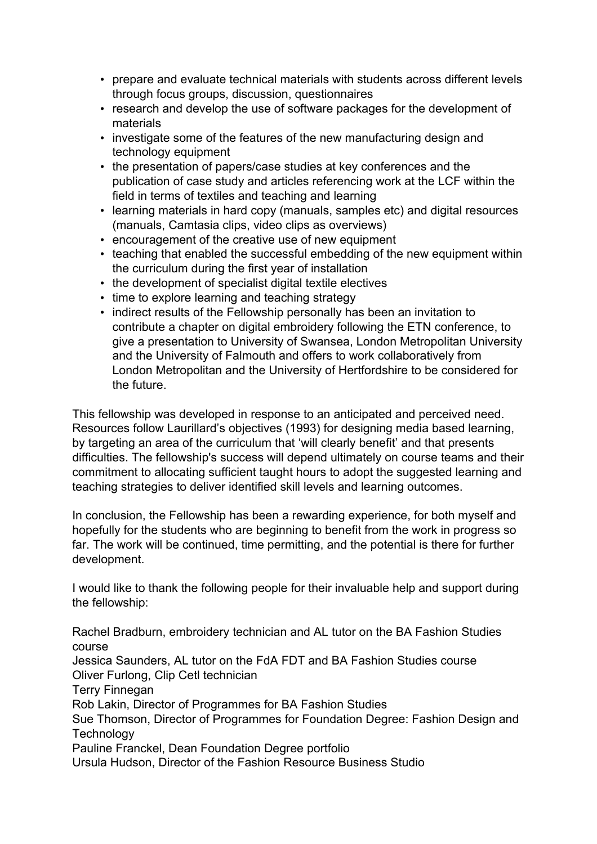- prepare and evaluate technical materials with students across different levels through focus groups, discussion, questionnaires
- research and develop the use of software packages for the development of materials
- investigate some of the features of the new manufacturing design and technology equipment
- the presentation of papers/case studies at key conferences and the publication of case study and articles referencing work at the LCF within the field in terms of textiles and teaching and learning
- learning materials in hard copy (manuals, samples etc) and digital resources (manuals, Camtasia clips, video clips as overviews)
- encouragement of the creative use of new equipment
- teaching that enabled the successful embedding of the new equipment within the curriculum during the first year of installation
- the development of specialist digital textile electives
- time to explore learning and teaching strategy
- indirect results of the Fellowship personally has been an invitation to contribute a chapter on digital embroidery following the ETN conference, to give a presentation to University of Swansea, London Metropolitan University and the University of Falmouth and offers to work collaboratively from London Metropolitan and the University of Hertfordshire to be considered for the future.

This fellowship was developed in response to an anticipated and perceived need. Resources follow Laurillard's objectives (1993) for designing media based learning, by targeting an area of the curriculum that 'will clearly benefit' and that presents difficulties. The fellowship's success will depend ultimately on course teams and their commitment to allocating sufficient taught hours to adopt the suggested learning and teaching strategies to deliver identified skill levels and learning outcomes.

In conclusion, the Fellowship has been a rewarding experience, for both myself and hopefully for the students who are beginning to benefit from the work in progress so far. The work will be continued, time permitting, and the potential is there for further development.

I would like to thank the following people for their invaluable help and support during the fellowship:

Rachel Bradburn, embroidery technician and AL tutor on the BA Fashion Studies course Jessica Saunders, AL tutor on the FdA FDT and BA Fashion Studies course Oliver Furlong, Clip Cetl technician Terry Finnegan Rob Lakin, Director of Programmes for BA Fashion Studies Sue Thomson, Director of Programmes for Foundation Degree: Fashion Design and **Technology** Pauline Franckel, Dean Foundation Degree portfolio Ursula Hudson, Director of the Fashion Resource Business Studio